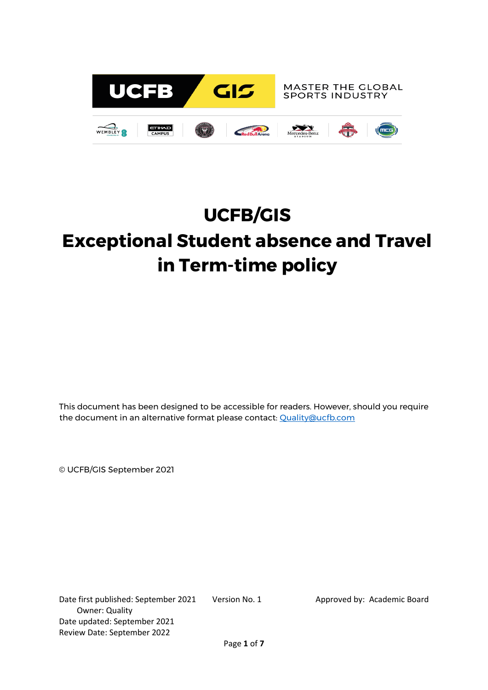

# **UCFB/GIS**

# **Exceptional Student absence and Travel in Term-time policy**

This document has been designed to be accessible for readers. However, should you require the document in an alternative format please contact: [Quality@ucfb.com](mailto:Quality@ucfb.com)

© UCFB/GIS September 2021

Date first published: September 2021 Version No. 1 Approved by: Academic Board Owner: Quality Date updated: September 2021 Review Date: September 2022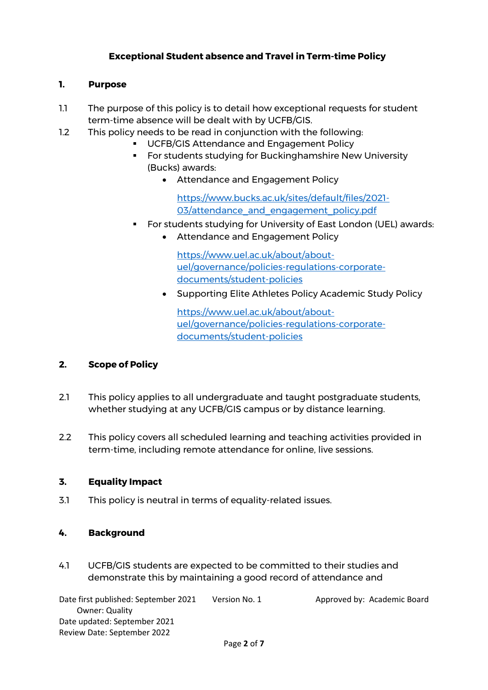## **Exceptional Student absence and Travel in Term-time Policy**

### **1. Purpose**

- 1.1 The purpose of this policy is to detail how exceptional requests for student term-time absence will be dealt with by UCFB/GIS.
- 1.2 This policy needs to be read in conjunction with the following:
	- UCFB/GIS Attendance and Engagement Policy
	- **For students studying for Buckinghamshire New University** (Bucks) awards:
		- Attendance and Engagement Policy

[https://www.bucks.ac.uk/sites/default/files/2021-](https://www.bucks.ac.uk/sites/default/files/2021-03/attendance_and_engagement_policy.pdf) 03/attendance and engagement policy.pdf

- **For students studying for University of East London (UEL) awards:** 
	- Attendance and Engagement Policy

[https://www.uel.ac.uk/about/about](https://www.uel.ac.uk/about/about-uel/governance/policies-regulations-corporate-documents/student-policies)[uel/governance/policies-regulations-corporate](https://www.uel.ac.uk/about/about-uel/governance/policies-regulations-corporate-documents/student-policies)[documents/student-policies](https://www.uel.ac.uk/about/about-uel/governance/policies-regulations-corporate-documents/student-policies)

• Supporting Elite Athletes Policy Academic Study Policy

[https://www.uel.ac.uk/about/about](https://www.uel.ac.uk/about/about-uel/governance/policies-regulations-corporate-documents/student-policies)[uel/governance/policies-regulations-corporate](https://www.uel.ac.uk/about/about-uel/governance/policies-regulations-corporate-documents/student-policies)[documents/student-policies](https://www.uel.ac.uk/about/about-uel/governance/policies-regulations-corporate-documents/student-policies)

### **2. Scope of Policy**

- 2.1 This policy applies to all undergraduate and taught postgraduate students, whether studying at any UCFB/GIS campus or by distance learning.
- 2.2 This policy covers all scheduled learning and teaching activities provided in term-time, including remote attendance for online, live sessions.

### **3. Equality Impact**

3.1 This policy is neutral in terms of equality-related issues.

### **4. Background**

4.1 UCFB/GIS students are expected to be committed to their studies and demonstrate this by maintaining a good record of attendance and

Date first published: September 2021 Version No. 1 Approved by: Academic Board Owner: Quality Date updated: September 2021 Review Date: September 2022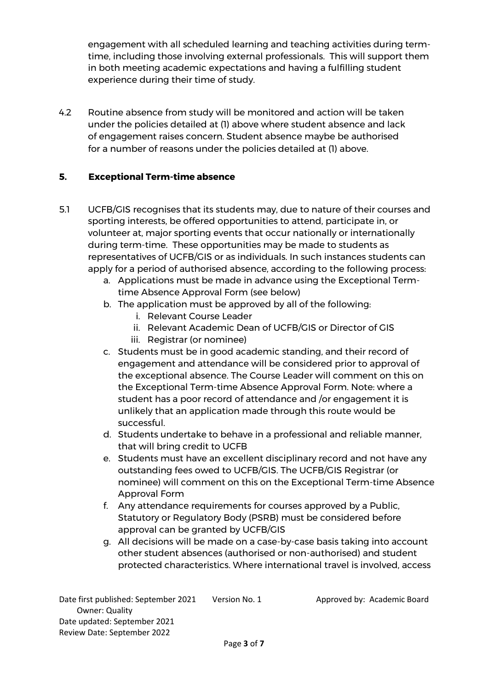engagement with all scheduled learning and teaching activities during termtime, including those involving external professionals. This will support them in both meeting academic expectations and having a fulfilling student experience during their time of study.

4.2 Routine absence from study will be monitored and action will be taken under the policies detailed at (1) above where student absence and lack of engagement raises concern. Student absence maybe be authorised for a number of reasons under the policies detailed at (1) above.

### **5. Exceptional Term-time absence**

- 5.1 UCFB/GIS recognises that its students may, due to nature of their courses and sporting interests, be offered opportunities to attend, participate in, or volunteer at, major sporting events that occur nationally or internationally during term-time. These opportunities may be made to students as representatives of UCFB/GIS or as individuals. In such instances students can apply for a period of authorised absence, according to the following process:
	- a. Applications must be made in advance using the Exceptional Termtime Absence Approval Form (see below)
	- b. The application must be approved by all of the following:
		- i. Relevant Course Leader
		- ii. Relevant Academic Dean of UCFB/GIS or Director of GIS
		- iii. Registrar (or nominee)
	- c. Students must be in good academic standing, and their record of engagement and attendance will be considered prior to approval of the exceptional absence. The Course Leader will comment on this on the Exceptional Term-time Absence Approval Form. Note: where a student has a poor record of attendance and /or engagement it is unlikely that an application made through this route would be successful.
	- d. Students undertake to behave in a professional and reliable manner, that will bring credit to UCFB
	- e. Students must have an excellent disciplinary record and not have any outstanding fees owed to UCFB/GIS. The UCFB/GIS Registrar (or nominee) will comment on this on the Exceptional Term-time Absence Approval Form
	- f. Any attendance requirements for courses approved by a Public, Statutory or Regulatory Body (PSRB) must be considered before approval can be granted by UCFB/GIS
	- g. All decisions will be made on a case-by-case basis taking into account other student absences (authorised or non-authorised) and student protected characteristics. Where international travel is involved, access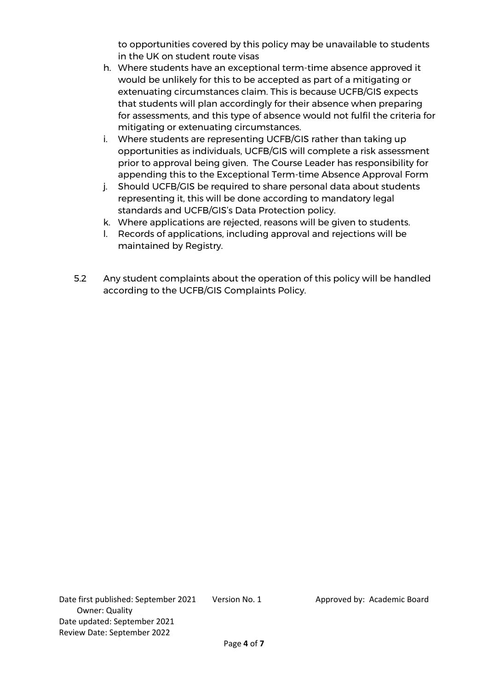to opportunities covered by this policy may be unavailable to students in the UK on student route visas

- h. Where students have an exceptional term-time absence approved it would be unlikely for this to be accepted as part of a mitigating or extenuating circumstances claim. This is because UCFB/GIS expects that students will plan accordingly for their absence when preparing for assessments, and this type of absence would not fulfil the criteria for mitigating or extenuating circumstances.
- i. Where students are representing UCFB/GIS rather than taking up opportunities as individuals, UCFB/GIS will complete a risk assessment prior to approval being given. The Course Leader has responsibility for appending this to the Exceptional Term-time Absence Approval Form
- j. Should UCFB/GIS be required to share personal data about students representing it, this will be done according to mandatory legal standards and UCFB/GIS's Data Protection policy.
- k. Where applications are rejected, reasons will be given to students.
- l. Records of applications, including approval and rejections will be maintained by Registry.
- 5.2 Any student complaints about the operation of this policy will be handled according to the UCFB/GIS Complaints Policy.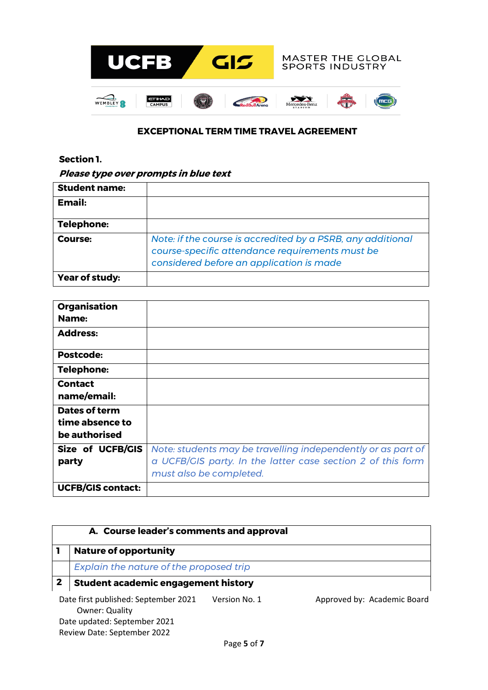

#### **EXCEPTIONAL TERM TIME TRAVEL AGREEMENT**

#### **Section 1.**

#### **Please type over prompts in blue text**

| <b>Student name:</b>  |                                                                                                                                                            |
|-----------------------|------------------------------------------------------------------------------------------------------------------------------------------------------------|
| Email:                |                                                                                                                                                            |
| <b>Telephone:</b>     |                                                                                                                                                            |
| Course:               | Note: if the course is accredited by a PSRB, any additional<br>course-specific attendance requirements must be<br>considered before an application is made |
| <b>Year of study:</b> |                                                                                                                                                            |

| <b>Organisation</b><br>Name:                      |                                                                                                                                                        |
|---------------------------------------------------|--------------------------------------------------------------------------------------------------------------------------------------------------------|
| <b>Address:</b>                                   |                                                                                                                                                        |
| Postcode:                                         |                                                                                                                                                        |
| <b>Telephone:</b>                                 |                                                                                                                                                        |
| <b>Contact</b><br>name/email:                     |                                                                                                                                                        |
| Dates of term<br>time absence to<br>be authorised |                                                                                                                                                        |
| Size of UCFB/GIS<br>party                         | Note: students may be travelling independently or as part of<br>a UCFB/GIS party. In the latter case section 2 of this form<br>must also be completed. |
| <b>UCFB/GIS contact:</b>                          |                                                                                                                                                        |

| A. Course leader's comments and approval |                                                               |               |                             |  |
|------------------------------------------|---------------------------------------------------------------|---------------|-----------------------------|--|
|                                          | <b>Nature of opportunity</b>                                  |               |                             |  |
|                                          | Explain the nature of the proposed trip                       |               |                             |  |
| $\mathbf{2}$                             | <b>Student academic engagement history</b>                    |               |                             |  |
|                                          | Date first published: September 2021<br><b>Owner: Quality</b> | Version No. 1 | Approved by: Academic Board |  |
|                                          | Date updated: September 2021<br>Review Date: September 2022   |               |                             |  |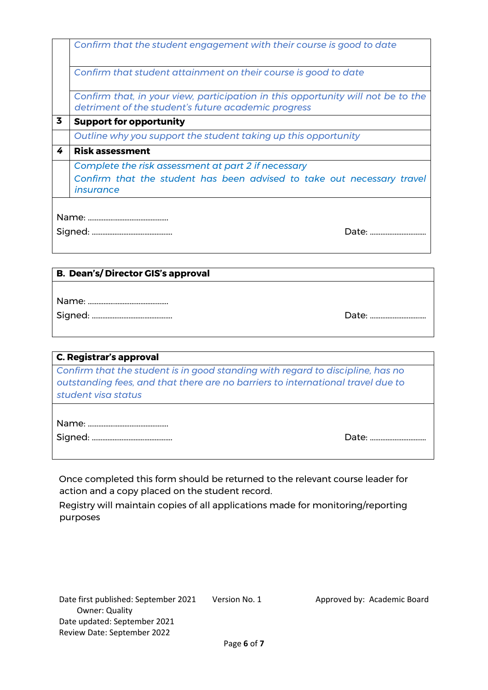|   | Confirm that the student engagement with their course is good to date            |  |
|---|----------------------------------------------------------------------------------|--|
|   |                                                                                  |  |
|   | Confirm that student attainment on their course is good to date                  |  |
|   | Confirm that, in your view, participation in this opportunity will not be to the |  |
|   | detriment of the student's future academic progress                              |  |
| 3 | <b>Support for opportunity</b>                                                   |  |
|   | Outline why you support the student taking up this opportunity                   |  |
| 4 | <b>Risk assessment</b>                                                           |  |
|   | Complete the risk assessment at part 2 if necessary                              |  |
|   | Confirm that the student has been advised to take out necessary travel           |  |
|   | insurance                                                                        |  |
|   |                                                                                  |  |
|   |                                                                                  |  |
|   | Date: <b>Date:</b>                                                               |  |
|   |                                                                                  |  |

#### **B. Dean's/ Director GIS's approval**

| <b>C. Registrar's approval</b>                                                                                                                                                           |                    |  |
|------------------------------------------------------------------------------------------------------------------------------------------------------------------------------------------|--------------------|--|
| Confirm that the student is in good standing with regard to discipline, has no<br>outstanding fees, and that there are no barriers to international travel due to<br>student visa status |                    |  |
|                                                                                                                                                                                          | Date: <b>Date:</b> |  |

Once completed this form should be returned to the relevant course leader for action and a copy placed on the student record.

Registry will maintain copies of all applications made for monitoring/reporting purposes

Signed: ………………………………………. Date: ……….……………….…